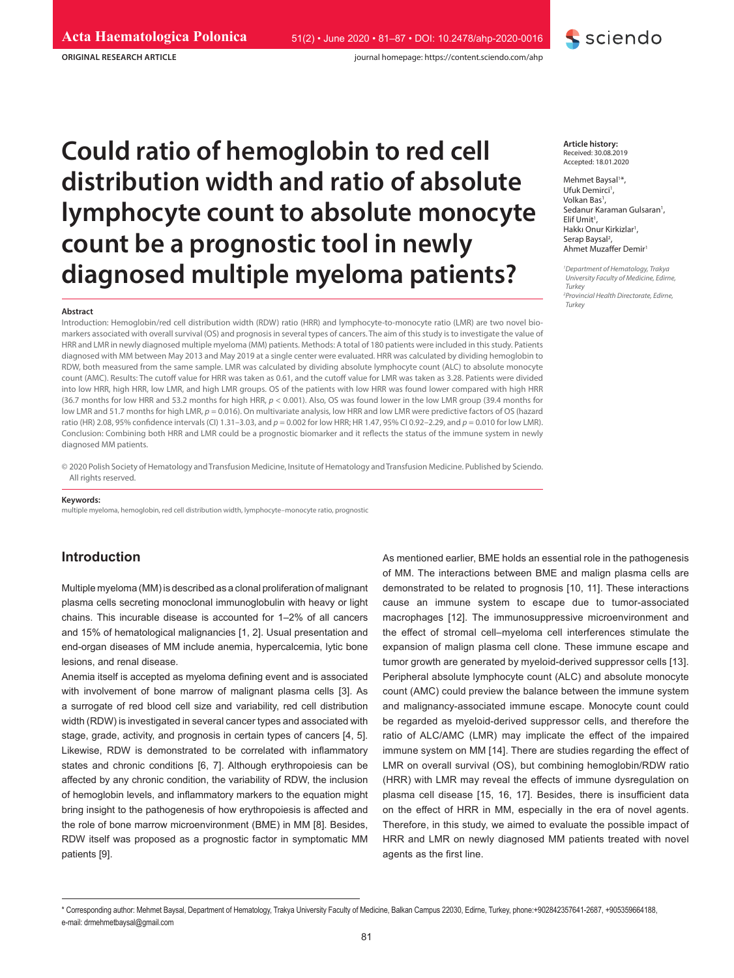**ORIGINAL RESEARCH ARTICLE**

## sciendo

# **Could ratio of hemoglobin to red cell distribution width and ratio of absolute lymphocyte count to absolute monocyte count be a prognostic tool in newly diagnosed multiple myeloma patients?** *<sup>1</sup>*

#### **Abstract**

Introduction: Hemoglobin/red cell distribution width (RDW) ratio (HRR) and lymphocyte-to-monocyte ratio (LMR) are two novel biomarkers associated with overall survival (OS) and prognosis in several types of cancers. The aim of this study is to investigate the value of HRR and LMR in newly diagnosed multiple myeloma (MM) patients. Methods: A total of 180 patients were included in this study. Patients diagnosed with MM between May 2013 and May 2019 at a single center were evaluated. HRR was calculated by dividing hemoglobin to RDW, both measured from the same sample. LMR was calculated by dividing absolute lymphocyte count (ALC) to absolute monocyte count (AMC). Results: The cutoff value for HRR was taken as 0.61, and the cutoff value for LMR was taken as 3.28. Patients were divided into low HRR, high HRR, low LMR, and high LMR groups. OS of the patients with low HRR was found lower compared with high HRR (36.7 months for low HRR and 53.2 months for high HRR, *p* < 0.001). Also, OS was found lower in the low LMR group (39.4 months for low LMR and 51.7 months for high LMR,  $p = 0.016$ ). On multivariate analysis, low HRR and low LMR were predictive factors of OS (hazard ratio (HR) 2.08, 95% confidence intervals (CI) 1.31–3.03, and *p* = 0.002 for low HRR; HR 1.47, 95% CI 0.92–2.29, and *p* = 0.010 for low LMR). Conclusion: Combining both HRR and LMR could be a prognostic biomarker and it reflects the status of the immune system in newly diagnosed MM patients.

© 2020 Polish Society of Hematology and Transfusion Medicine, Insitute of Hematology and Transfusion Medicine. Published by Sciendo. All rights reserved.

#### **Keywords:**

multiple myeloma, hemoglobin, red cell distribution width, lymphocyte–monocyte ratio, prognostic

## **Introduction**

Multiple myeloma (MM) is described as a clonal proliferation of malignant plasma cells secreting monoclonal immunoglobulin with heavy or light chains. This incurable disease is accounted for 1–2% of all cancers and 15% of hematological malignancies [1, 2]. Usual presentation and end-organ diseases of MM include anemia, hypercalcemia, lytic bone lesions, and renal disease.

Anemia itself is accepted as myeloma defining event and is associated with involvement of bone marrow of malignant plasma cells [3]. As a surrogate of red blood cell size and variability, red cell distribution width (RDW) is investigated in several cancer types and associated with stage, grade, activity, and prognosis in certain types of cancers [4, 5]. Likewise, RDW is demonstrated to be correlated with inflammatory states and chronic conditions [6, 7]. Although erythropoiesis can be affected by any chronic condition, the variability of RDW, the inclusion of hemoglobin levels, and inflammatory markers to the equation might bring insight to the pathogenesis of how erythropoiesis is affected and the role of bone marrow microenvironment (BME) in MM [8]. Besides, RDW itself was proposed as a prognostic factor in symptomatic MM patients [9].

Mehmet Baysal<sup>1\*</sup>, Ufuk Demirci<sup>1</sup>, Volkan Bas<sup>1</sup>, Sedanur Karaman Gulsaran<sup>1</sup>, Elif Umit<sup>1</sup>, Hakkı Onur Kirkizlar<sup>1</sup>, Serap Baysal2 Serap Baysal<sup>2</sup>,<br>Ahmet Muzaffer Demir<sup>1</sup>

*Department of Hematology, Trakya University Faculty of Medicine, Edirne, Turkey*

*2 Provincial Health Directorate, Edirne, Turkey*

As mentioned earlier, BME holds an essential role in the pathogenesis of MM. The interactions between BME and malign plasma cells are demonstrated to be related to prognosis [10, 11]. These interactions cause an immune system to escape due to tumor-associated macrophages [12]. The immunosuppressive microenvironment and the effect of stromal cell–myeloma cell interferences stimulate the expansion of malign plasma cell clone. These immune escape and tumor growth are generated by myeloid-derived suppressor cells [13]. Peripheral absolute lymphocyte count (ALC) and absolute monocyte count (AMC) could preview the balance between the immune system and malignancy-associated immune escape. Monocyte count could be regarded as myeloid-derived suppressor cells, and therefore the ratio of ALC/AMC (LMR) may implicate the effect of the impaired immune system on MM [14]. There are studies regarding the effect of LMR on overall survival (OS), but combining hemoglobin/RDW ratio (HRR) with LMR may reveal the effects of immune dysregulation on plasma cell disease [15, 16, 17]. Besides, there is insufficient data on the effect of HRR in MM, especially in the era of novel agents. Therefore, in this study, we aimed to evaluate the possible impact of HRR and LMR on newly diagnosed MM patients treated with novel agents as the first line.

**Article history:** Received: 30.08.2019 Accepted: 18.01.2020

<sup>\*</sup> Corresponding author: Mehmet Baysal, Department of Hematology, Trakya University Faculty of Medicine, Balkan Campus 22030, Edirne, Turkey, phone:+902842357641-2687, +905359664188, e-mail: drmehmetbaysal@gmail.com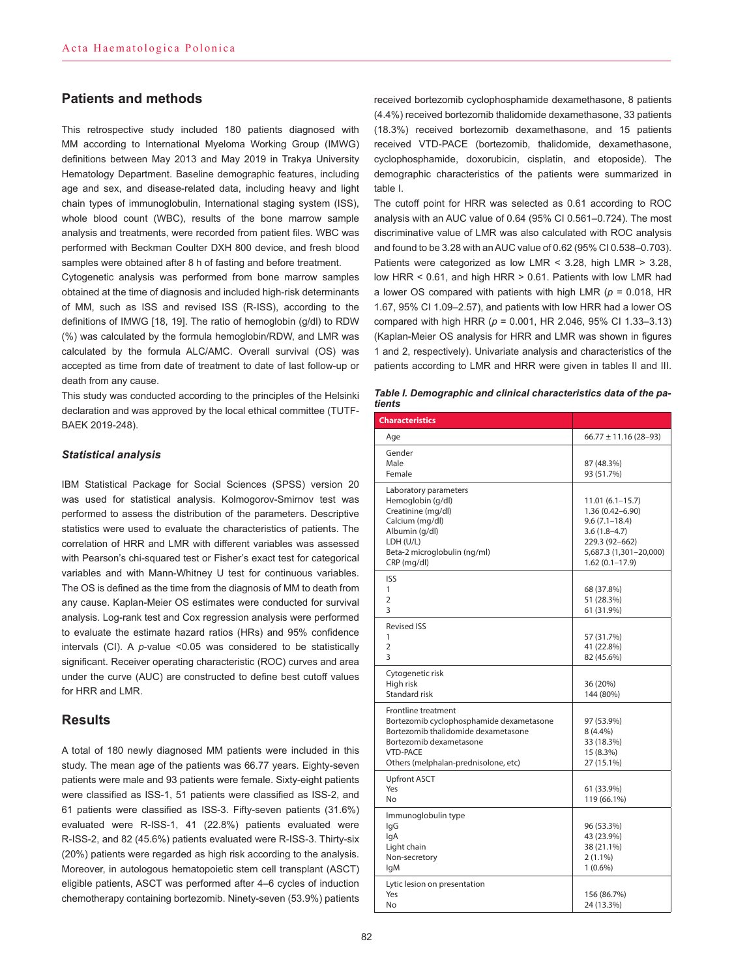## **Patients and methods**

This retrospective study included 180 patients diagnosed with MM according to International Myeloma Working Group (IMWG) definitions between May 2013 and May 2019 in Trakya University Hematology Department. Baseline demographic features, including age and sex, and disease-related data, including heavy and light chain types of immunoglobulin, International staging system (ISS), whole blood count (WBC), results of the bone marrow sample analysis and treatments, were recorded from patient files. WBC was performed with Beckman Coulter DXH 800 device, and fresh blood samples were obtained after 8 h of fasting and before treatment.

Cytogenetic analysis was performed from bone marrow samples obtained at the time of diagnosis and included high-risk determinants of MM, such as ISS and revised ISS (R-ISS), according to the definitions of IMWG [18, 19]. The ratio of hemoglobin (g/dl) to RDW (%) was calculated by the formula hemoglobin/RDW, and LMR was calculated by the formula ALC/AMC. Overall survival (OS) was accepted as time from date of treatment to date of last follow-up or death from any cause.

This study was conducted according to the principles of the Helsinki declaration and was approved by the local ethical committee (TUTF-BAEK 2019-248).

#### *Statistical analysis*

IBM Statistical Package for Social Sciences (SPSS) version 20 was used for statistical analysis. Kolmogorov-Smirnov test was performed to assess the distribution of the parameters. Descriptive statistics were used to evaluate the characteristics of patients. The correlation of HRR and LMR with different variables was assessed with Pearson's chi-squared test or Fisher's exact test for categorical variables and with Mann-Whitney U test for continuous variables. The OS is defined as the time from the diagnosis of MM to death from any cause. Kaplan-Meier OS estimates were conducted for survival analysis. Log-rank test and Cox regression analysis were performed to evaluate the estimate hazard ratios (HRs) and 95% confidence intervals (CI). A *p*-value <0.05 was considered to be statistically significant. Receiver operating characteristic (ROC) curves and area under the curve (AUC) are constructed to define best cutoff values for HRR and LMR.

## **Results**

A total of 180 newly diagnosed MM patients were included in this study. The mean age of the patients was 66.77 years. Eighty-seven patients were male and 93 patients were female. Sixty-eight patients were classified as ISS-1, 51 patients were classified as ISS-2, and 61 patients were classified as ISS-3. Fifty-seven patients (31.6%) evaluated were R-ISS-1, 41 (22.8%) patients evaluated were R-ISS-2, and 82 (45.6%) patients evaluated were R-ISS-3. Thirty-six (20%) patients were regarded as high risk according to the analysis. Moreover, in autologous hematopoietic stem cell transplant (ASCT) eligible patients, ASCT was performed after 4–6 cycles of induction chemotherapy containing bortezomib. Ninety-seven (53.9%) patients

received bortezomib cyclophosphamide dexamethasone, 8 patients (4.4%) received bortezomib thalidomide dexamethasone, 33 patients (18.3%) received bortezomib dexamethasone, and 15 patients received VTD-PACE (bortezomib, thalidomide, dexamethasone, cyclophosphamide, doxorubicin, cisplatin, and etoposide). The demographic characteristics of the patients were summarized in table I.

The cutoff point for HRR was selected as 0.61 according to ROC analysis with an AUC value of 0.64 (95% CI 0.561–0.724). The most discriminative value of LMR was also calculated with ROC analysis and found to be 3.28 with an AUC value of 0.62 (95% CI 0.538–0.703). Patients were categorized as low LMR < 3.28, high LMR > 3.28, low HRR < 0.61, and high HRR > 0.61. Patients with low LMR had a lower OS compared with patients with high LMR (*p* = 0.018, HR 1.67, 95% CI 1.09–2.57), and patients with low HRR had a lower OS compared with high HRR (*p* = 0.001, HR 2.046, 95% CI 1.33–3.13) (Kaplan-Meier OS analysis for HRR and LMR was shown in figures 1 and 2, respectively). Univariate analysis and characteristics of the patients according to LMR and HRR were given in tables II and III.

| Table I. Demographic and clinical characteristics data of the pa-<br>tients |  |
|-----------------------------------------------------------------------------|--|
| Characteristics                                                             |  |

| <b>Characteristics</b>                                                                                                                                                                              |                                                                                                                                                  |
|-----------------------------------------------------------------------------------------------------------------------------------------------------------------------------------------------------|--------------------------------------------------------------------------------------------------------------------------------------------------|
| Age                                                                                                                                                                                                 | $66.77 \pm 11.16$ (28-93)                                                                                                                        |
| Gender<br>Male<br>Female                                                                                                                                                                            | 87 (48.3%)<br>93 (51.7%)                                                                                                                         |
| Laboratory parameters<br>Hemoglobin (g/dl)<br>Creatinine (mg/dl)<br>Calcium (mg/dl)<br>Albumin (g/dl)<br>LDH (U/L)<br>Beta-2 microglobulin (ng/ml)<br>CRP (mg/dl)                                   | $11.01(6.1 - 15.7)$<br>1.36 (0.42-6.90)<br>$9.6(7.1 - 18.4)$<br>$3.6(1.8-4.7)$<br>229.3 (92-662)<br>5,687.3 (1,301-20,000)<br>$1.62(0.1 - 17.9)$ |
| <b>ISS</b><br>1<br>$\overline{2}$<br>3                                                                                                                                                              | 68 (37.8%)<br>51 (28.3%)<br>61 (31.9%)                                                                                                           |
| <b>Revised ISS</b><br>1<br>$\overline{2}$<br>3                                                                                                                                                      | 57 (31.7%)<br>41 (22.8%)<br>82 (45.6%)                                                                                                           |
| Cytogenetic risk<br>High risk<br>Standard risk                                                                                                                                                      | 36 (20%)<br>144 (80%)                                                                                                                            |
| <b>Frontline treatment</b><br>Bortezomib cyclophosphamide dexametasone<br>Bortezomib thalidomide dexametasone<br>Bortezomib dexametasone<br><b>VTD-PACE</b><br>Others (melphalan-prednisolone, etc) | 97 (53.9%)<br>8 (4.4%)<br>33 (18.3%)<br>15 (8.3%)<br>27 (15.1%)                                                                                  |
| <b>Upfront ASCT</b><br>Yes<br>No                                                                                                                                                                    | 61 (33.9%)<br>119 (66.1%)                                                                                                                        |
| Immunoglobulin type<br>lgG<br>lgA<br>Light chain<br>Non-secretory<br>lgM                                                                                                                            | 96 (53.3%)<br>43 (23.9%)<br>38 (21.1%)<br>$2(1.1\%)$<br>$1(0.6\%)$                                                                               |
| Lytic lesion on presentation<br>Yes<br>No                                                                                                                                                           | 156 (86.7%)<br>24 (13.3%)                                                                                                                        |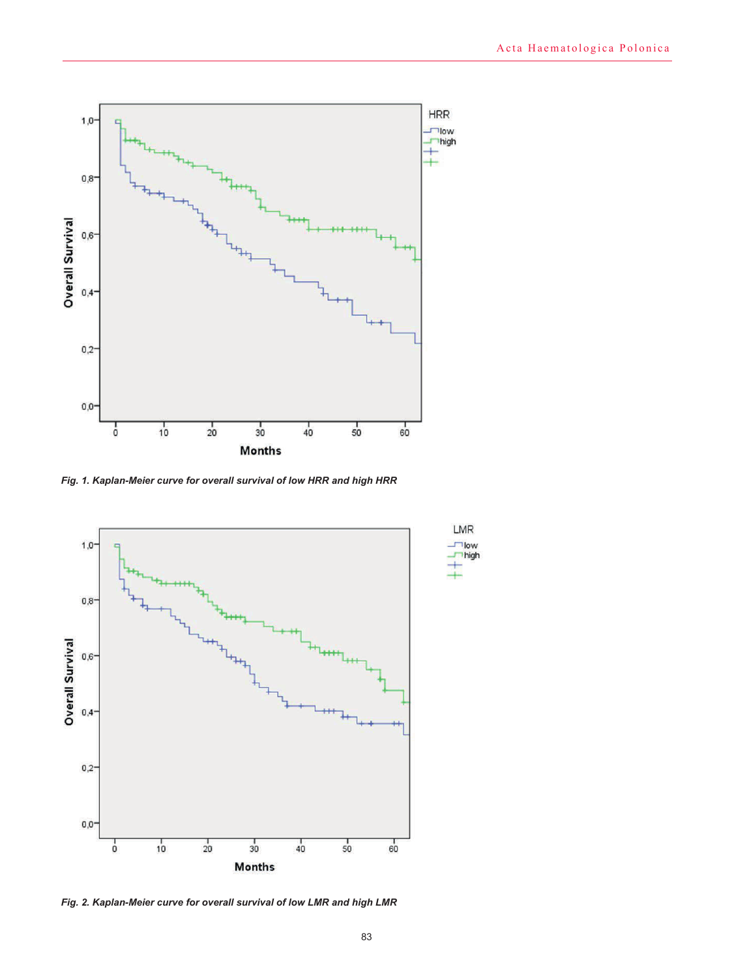

*Fig. 1. Kaplan-Meier curve for overall survival of low HRR and high HRR*



*Fig. 2. Kaplan-Meier curve for overall survival of low LMR and high LMR*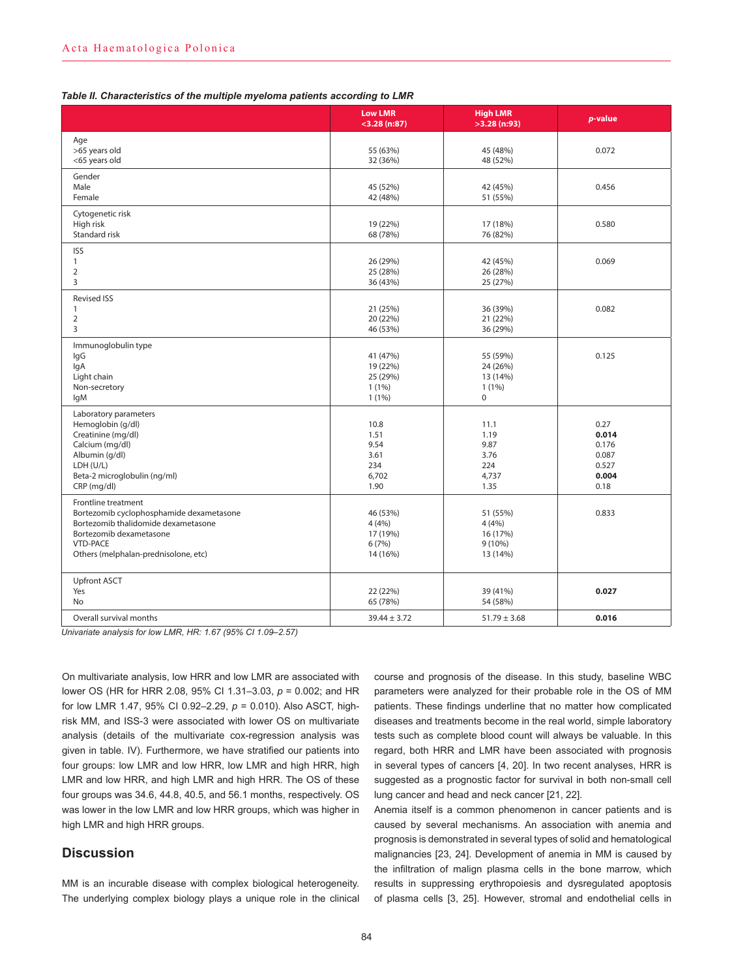| Table II. Characteristics of the multiple myeloma patients according to LMR |  |
|-----------------------------------------------------------------------------|--|
|-----------------------------------------------------------------------------|--|

|                                                                                                                                                                                              | <b>Low LMR</b><br>$<$ 3.28 (n:87)                     | <b>High LMR</b><br>$>3.28$ (n:93)                        | p-value                                                   |
|----------------------------------------------------------------------------------------------------------------------------------------------------------------------------------------------|-------------------------------------------------------|----------------------------------------------------------|-----------------------------------------------------------|
| Age<br>>65 years old<br><65 years old                                                                                                                                                        | 55 (63%)<br>32 (36%)                                  | 45 (48%)<br>48 (52%)                                     | 0.072                                                     |
| Gender<br>Male<br>Female                                                                                                                                                                     | 45 (52%)<br>42 (48%)                                  | 42 (45%)<br>51 (55%)                                     | 0.456                                                     |
| Cytogenetic risk<br>High risk<br>Standard risk                                                                                                                                               | 19 (22%)<br>68 (78%)                                  | 17 (18%)<br>76 (82%)                                     | 0.580                                                     |
| <b>ISS</b><br>$\mathbf{1}$<br>$\overline{2}$<br>3                                                                                                                                            | 26 (29%)<br>25 (28%)<br>36 (43%)                      | 42 (45%)<br>26 (28%)<br>25 (27%)                         | 0.069                                                     |
| <b>Revised ISS</b><br>$\mathbf{1}$<br>$\overline{2}$<br>3                                                                                                                                    | 21 (25%)<br>20 (22%)<br>46 (53%)                      | 36 (39%)<br>21 (22%)<br>36 (29%)                         | 0.082                                                     |
| Immunoglobulin type<br>lgG<br>lgA<br>Light chain<br>Non-secretory<br>lgM                                                                                                                     | 41 (47%)<br>19 (22%)<br>25 (29%)<br>1(1%)<br>$1(1\%)$ | 55 (59%)<br>24 (26%)<br>13 (14%)<br>1(1%)<br>$\mathbf 0$ | 0.125                                                     |
| Laboratory parameters<br>Hemoglobin (g/dl)<br>Creatinine (mg/dl)<br>Calcium (mg/dl)<br>Albumin (g/dl)<br>LDH (U/L)<br>Beta-2 microglobulin (ng/ml)<br>CRP (mg/dl)                            | 10.8<br>1.51<br>9.54<br>3.61<br>234<br>6,702<br>1.90  | 11.1<br>1.19<br>9.87<br>3.76<br>224<br>4,737<br>1.35     | 0.27<br>0.014<br>0.176<br>0.087<br>0.527<br>0.004<br>0.18 |
| Frontline treatment<br>Bortezomib cyclophosphamide dexametasone<br>Bortezomib thalidomide dexametasone<br>Bortezomib dexametasone<br><b>VTD-PACE</b><br>Others (melphalan-prednisolone, etc) | 46 (53%)<br>4(4%)<br>17 (19%)<br>6(7%)<br>14 (16%)    | 51 (55%)<br>4(4%)<br>16 (17%)<br>$9(10\%)$<br>13 (14%)   | 0.833                                                     |
| <b>Upfront ASCT</b><br>Yes<br><b>No</b>                                                                                                                                                      | 22 (22%)<br>65 (78%)                                  | 39 (41%)<br>54 (58%)                                     | 0.027                                                     |
| Overall survival months                                                                                                                                                                      | $39.44 \pm 3.72$                                      | $51.79 \pm 3.68$                                         | 0.016                                                     |

*Univariate analysis for low LMR, HR: 1.67 (95% CI 1.09–2.57)*

On multivariate analysis, low HRR and low LMR are associated with lower OS (HR for HRR 2.08, 95% CI 1.31–3.03, *p* = 0.002; and HR for low LMR 1.47, 95% CI 0.92–2.29, *p* = 0.010). Also ASCT, highrisk MM, and ISS-3 were associated with lower OS on multivariate analysis (details of the multivariate cox-regression analysis was given in table. IV). Furthermore, we have stratified our patients into four groups: low LMR and low HRR, low LMR and high HRR, high LMR and low HRR, and high LMR and high HRR. The OS of these four groups was 34.6, 44.8, 40.5, and 56.1 months, respectively. OS was lower in the low LMR and low HRR groups, which was higher in high LMR and high HRR groups.

## **Discussion**

MM is an incurable disease with complex biological heterogeneity. The underlying complex biology plays a unique role in the clinical course and prognosis of the disease. In this study, baseline WBC parameters were analyzed for their probable role in the OS of MM patients. These findings underline that no matter how complicated diseases and treatments become in the real world, simple laboratory tests such as complete blood count will always be valuable. In this regard, both HRR and LMR have been associated with prognosis in several types of cancers [4, 20]. In two recent analyses, HRR is suggested as a prognostic factor for survival in both non-small cell lung cancer and head and neck cancer [21, 22].

Anemia itself is a common phenomenon in cancer patients and is caused by several mechanisms. An association with anemia and prognosis is demonstrated in several types of solid and hematological malignancies [23, 24]. Development of anemia in MM is caused by the infiltration of malign plasma cells in the bone marrow, which results in suppressing erythropoiesis and dysregulated apoptosis of plasma cells [3, 25]. However, stromal and endothelial cells in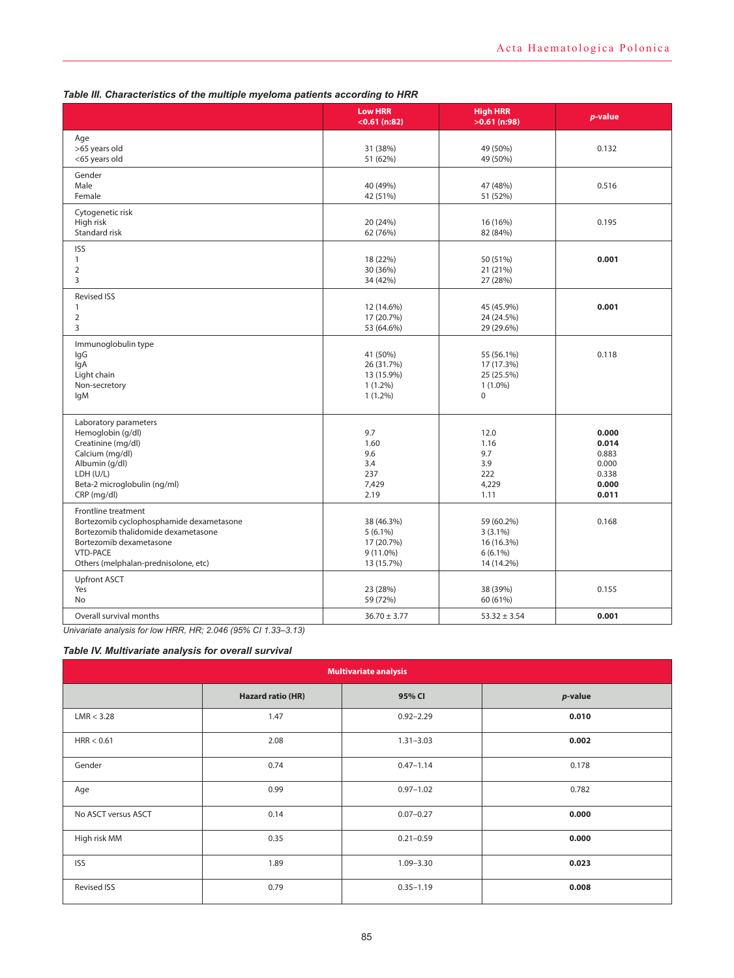|                                                                                                                                                                                              | <b>Low HRR</b><br>$<$ 0.61 (n:82)                                   | <b>High HRR</b><br>$>0.61$ (n:98)                                   | p-value                                                     |
|----------------------------------------------------------------------------------------------------------------------------------------------------------------------------------------------|---------------------------------------------------------------------|---------------------------------------------------------------------|-------------------------------------------------------------|
| Age<br>>65 years old<br><65 years old                                                                                                                                                        | 31 (38%)<br>51 (62%)                                                | 49 (50%)<br>49 (50%)                                                | 0.132                                                       |
| Gender<br>Male<br>Female                                                                                                                                                                     | 40 (49%)<br>42 (51%)                                                | 47 (48%)<br>51 (52%)                                                | 0.516                                                       |
| Cytogenetic risk<br>High risk<br>Standard risk                                                                                                                                               | 20 (24%)<br>62 (76%)                                                | 16 (16%)<br>82 (84%)                                                | 0.195                                                       |
| <b>ISS</b><br>$\mathbf{1}$<br>$\overline{2}$<br>3                                                                                                                                            | 18 (22%)<br>30 (36%)<br>34 (42%)                                    | 50 (51%)<br>21 (21%)<br>27 (28%)                                    | 0.001                                                       |
| <b>Revised ISS</b><br>$\mathbf{1}$<br>2<br>3                                                                                                                                                 | 12 (14.6%)<br>17 (20.7%)<br>53 (64.6%)                              | 45 (45.9%)<br>24 (24.5%)<br>29 (29.6%)                              | 0.001                                                       |
| Immunoglobulin type<br>lgG<br>lgA<br>Light chain<br>Non-secretory<br><b>IgM</b>                                                                                                              | 41 (50%)<br>26 (31.7%)<br>13 (15.9%)<br>$1(1.2\%)$<br>$1(1.2\%)$    | 55 (56.1%)<br>17 (17.3%)<br>25 (25.5%)<br>$1(1.0\%)$<br>$\mathbf 0$ | 0.118                                                       |
| Laboratory parameters<br>Hemoglobin (g/dl)<br>Creatinine (mg/dl)<br>Calcium (mg/dl)<br>Albumin (g/dl)<br>LDH (U/L)<br>Beta-2 microglobulin (ng/ml)<br>CRP (mg/dl)                            | 9.7<br>1.60<br>9.6<br>3.4<br>237<br>7,429<br>2.19                   | 12.0<br>1.16<br>9.7<br>3.9<br>222<br>4,229<br>1.11                  | 0.000<br>0.014<br>0.883<br>0.000<br>0.338<br>0.000<br>0.011 |
| Frontline treatment<br>Bortezomib cyclophosphamide dexametasone<br>Bortezomib thalidomide dexametasone<br>Bortezomib dexametasone<br><b>VTD-PACE</b><br>Others (melphalan-prednisolone, etc) | 38 (46.3%)<br>$5(6.1\%)$<br>17 (20.7%)<br>$9(11.0\%)$<br>13 (15.7%) | 59 (60.2%)<br>$3(3.1\%)$<br>16 (16.3%)<br>$6(6.1\%)$<br>14 (14.2%)  | 0.168                                                       |
| <b>Upfront ASCT</b><br>Yes<br><b>No</b>                                                                                                                                                      | 23 (28%)<br>59 (72%)                                                | 38 (39%)<br>60 (61%)                                                | 0.155                                                       |
| Overall survival months<br>.                                                                                                                                                                 | $36.70 \pm 3.77$                                                    | $53.32 \pm 3.54$                                                    | 0.001                                                       |

## *Table III. Characteristics of the multiple myeloma patients according to HRR*

*Univariate analysis for low HRR, HR; 2.046 (95% CI 1.33–3.13)*

## *Table IV. Multivariate analysis for overall survival*

| <b>Multivariate analysis</b> |                          |               |         |
|------------------------------|--------------------------|---------------|---------|
|                              | <b>Hazard ratio (HR)</b> | 95% CI        | p-value |
| LMR < 3.28                   | 1.47                     | $0.92 - 2.29$ | 0.010   |
| HRR < 0.61                   | 2.08                     | $1.31 - 3.03$ | 0.002   |
| Gender                       | 0.74                     | $0.47 - 1.14$ | 0.178   |
| Age                          | 0.99                     | $0.97 - 1.02$ | 0.782   |
| No ASCT versus ASCT          | 0.14                     | $0.07 - 0.27$ | 0.000   |
| High risk MM                 | 0.35                     | $0.21 - 0.59$ | 0.000   |
| <b>ISS</b>                   | 1.89                     | $1.09 - 3.30$ | 0.023   |
| <b>Revised ISS</b>           | 0.79                     | $0.35 - 1.19$ | 0.008   |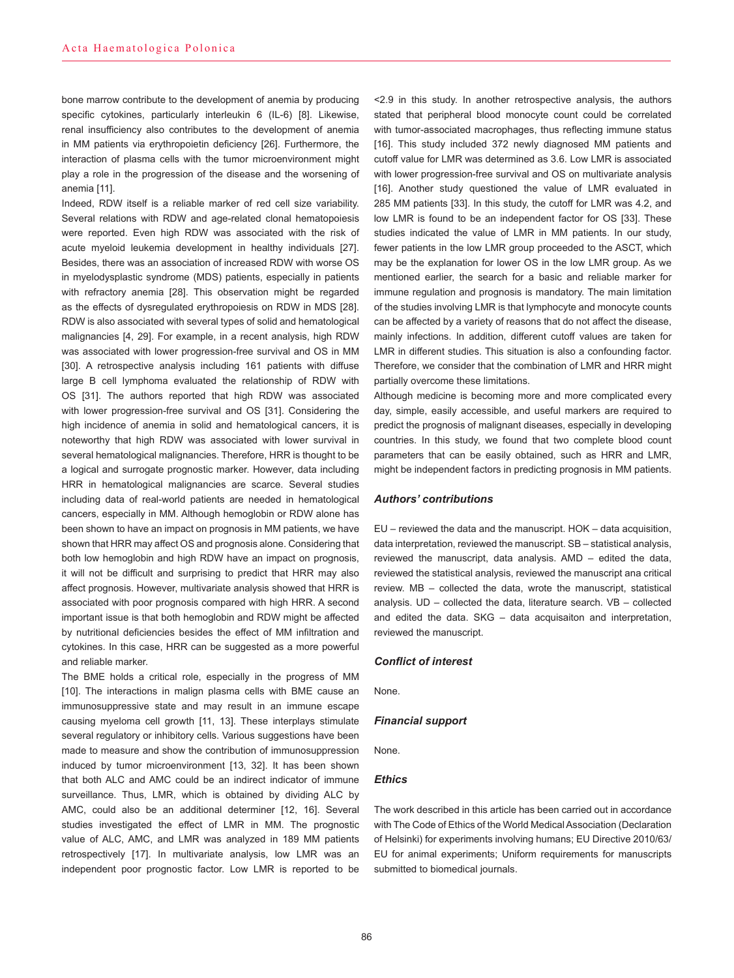bone marrow contribute to the development of anemia by producing specific cytokines, particularly interleukin 6 (IL-6) [8]. Likewise, renal insufficiency also contributes to the development of anemia in MM patients via erythropoietin deficiency [26]. Furthermore, the interaction of plasma cells with the tumor microenvironment might play a role in the progression of the disease and the worsening of anemia [11].

Indeed, RDW itself is a reliable marker of red cell size variability. Several relations with RDW and age-related clonal hematopoiesis were reported. Even high RDW was associated with the risk of acute myeloid leukemia development in healthy individuals [27]. Besides, there was an association of increased RDW with worse OS in myelodysplastic syndrome (MDS) patients, especially in patients with refractory anemia [28]. This observation might be regarded as the effects of dysregulated erythropoiesis on RDW in MDS [28]. RDW is also associated with several types of solid and hematological malignancies [4, 29]. For example, in a recent analysis, high RDW was associated with lower progression-free survival and OS in MM [30]. A retrospective analysis including 161 patients with diffuse large B cell lymphoma evaluated the relationship of RDW with OS [31]. The authors reported that high RDW was associated with lower progression-free survival and OS [31]. Considering the high incidence of anemia in solid and hematological cancers, it is noteworthy that high RDW was associated with lower survival in several hematological malignancies. Therefore, HRR is thought to be a logical and surrogate prognostic marker. However, data including HRR in hematological malignancies are scarce. Several studies including data of real-world patients are needed in hematological cancers, especially in MM. Although hemoglobin or RDW alone has been shown to have an impact on prognosis in MM patients, we have shown that HRR may affect OS and prognosis alone. Considering that both low hemoglobin and high RDW have an impact on prognosis. it will not be difficult and surprising to predict that HRR may also affect prognosis. However, multivariate analysis showed that HRR is associated with poor prognosis compared with high HRR. A second important issue is that both hemoglobin and RDW might be affected by nutritional deficiencies besides the effect of MM infiltration and cytokines. In this case, HRR can be suggested as a more powerful and reliable marker.

The BME holds a critical role, especially in the progress of MM [10]. The interactions in malign plasma cells with BME cause an immunosuppressive state and may result in an immune escape causing myeloma cell growth [11, 13]. These interplays stimulate several regulatory or inhibitory cells. Various suggestions have been made to measure and show the contribution of immunosuppression induced by tumor microenvironment [13, 32]. It has been shown that both ALC and AMC could be an indirect indicator of immune surveillance. Thus, LMR, which is obtained by dividing ALC by AMC, could also be an additional determiner [12, 16]. Several studies investigated the effect of LMR in MM. The prognostic value of ALC, AMC, and LMR was analyzed in 189 MM patients retrospectively [17]. In multivariate analysis, low LMR was an independent poor prognostic factor. Low LMR is reported to be

<2.9 in this study. In another retrospective analysis, the authors stated that peripheral blood monocyte count could be correlated with tumor-associated macrophages, thus reflecting immune status [16]. This study included 372 newly diagnosed MM patients and cutoff value for LMR was determined as 3.6. Low LMR is associated with lower progression-free survival and OS on multivariate analysis [16]. Another study questioned the value of LMR evaluated in 285 MM patients [33]. In this study, the cutoff for LMR was 4.2, and low LMR is found to be an independent factor for OS [33]. These studies indicated the value of LMR in MM patients. In our study, fewer patients in the low LMR group proceeded to the ASCT, which may be the explanation for lower OS in the low LMR group. As we mentioned earlier, the search for a basic and reliable marker for immune regulation and prognosis is mandatory. The main limitation of the studies involving LMR is that lymphocyte and monocyte counts can be affected by a variety of reasons that do not affect the disease, mainly infections. In addition, different cutoff values are taken for LMR in different studies. This situation is also a confounding factor. Therefore, we consider that the combination of LMR and HRR might partially overcome these limitations.

Although medicine is becoming more and more complicated every day, simple, easily accessible, and useful markers are required to predict the prognosis of malignant diseases, especially in developing countries. In this study, we found that two complete blood count parameters that can be easily obtained, such as HRR and LMR, might be independent factors in predicting prognosis in MM patients.

#### *Authors' contributions*

EU – reviewed the data and the manuscript. HOK – data acquisition, data interpretation, reviewed the manuscript. SB – statistical analysis, reviewed the manuscript, data analysis. AMD – edited the data, reviewed the statistical analysis, reviewed the manuscript ana critical review. MB – collected the data, wrote the manuscript, statistical analysis. UD – collected the data, literature search. VB – collected and edited the data. SKG – data acquisaiton and interpretation, reviewed the manuscript.

#### *Conflict of interest*

None.

#### *Financial support*

None.

#### *Ethics*

The work described in this article has been carried out in accordance with The Code of Ethics of the World Medical Association (Declaration of Helsinki) for experiments involving humans; EU Directive 2010/63/ EU for animal experiments; Uniform requirements for manuscripts submitted to biomedical journals.